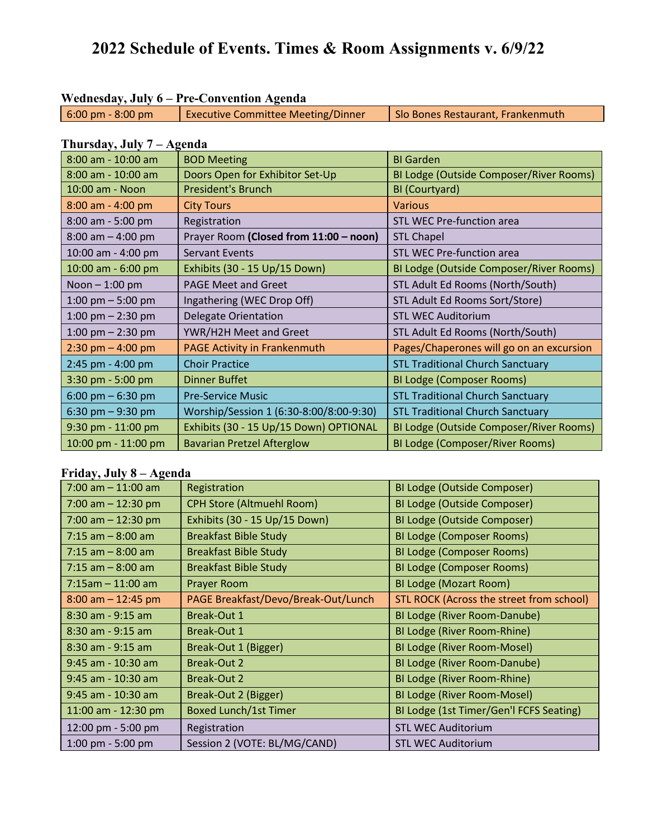# **2022 Schedule of Events. Times & Room Assignments v. 6/9/22**

| Wednesday, July 6 – Pre-Convention Agenda |                                           |                                   |
|-------------------------------------------|-------------------------------------------|-----------------------------------|
| $6:00 \text{ pm} - 8:00 \text{ pm}$       | <b>Executive Committee Meeting/Dinner</b> | Slo Bones Restaurant, Frankenmuth |

#### **Thursday, July 7 – Agenda**

| 8:00 am - 10:00 am    | <b>BOD Meeting</b>                      | <b>BI</b> Garden                         |
|-----------------------|-----------------------------------------|------------------------------------------|
| 8:00 am - 10:00 am    | Doors Open for Exhibitor Set-Up         | BI Lodge (Outside Composer/River Rooms)  |
| 10:00 am - Noon       | <b>President's Brunch</b>               | BI (Courtyard)                           |
| $8:00$ am - 4:00 pm   | <b>City Tours</b>                       | <b>Various</b>                           |
| $8:00$ am - 5:00 pm   | Registration                            | <b>STL WEC Pre-function area</b>         |
| $8:00$ am $-4:00$ pm  | Prayer Room (Closed from 11:00 - noon)  | <b>STL Chapel</b>                        |
| 10:00 am - 4:00 pm    | <b>Servant Events</b>                   | <b>STL WEC Pre-function area</b>         |
| 10:00 am - 6:00 pm    | Exhibits (30 - 15 Up/15 Down)           | BI Lodge (Outside Composer/River Rooms)  |
| Noon $-1:00$ pm       | <b>PAGE Meet and Greet</b>              | STL Adult Ed Rooms (North/South)         |
| 1:00 pm $-$ 5:00 pm   | Ingathering (WEC Drop Off)              | STL Adult Ed Rooms Sort/Store)           |
| 1:00 pm $-$ 2:30 pm   | Delegate Orientation                    | <b>STL WEC Auditorium</b>                |
| 1:00 pm $-$ 2:30 pm   | YWR/H2H Meet and Greet                  | STL Adult Ed Rooms (North/South)         |
| $2:30$ pm $- 4:00$ pm | <b>PAGE Activity in Frankenmuth</b>     | Pages/Chaperones will go on an excursion |
| 2:45 pm - 4:00 pm     | <b>Choir Practice</b>                   | <b>STL Traditional Church Sanctuary</b>  |
| 3:30 pm - 5:00 pm     | <b>Dinner Buffet</b>                    | BI Lodge (Composer Rooms)                |
| 6:00 pm $-$ 6:30 pm   | <b>Pre-Service Music</b>                | <b>STL Traditional Church Sanctuary</b>  |
| 6:30 pm $-9:30$ pm    | Worship/Session 1 (6:30-8:00/8:00-9:30) | <b>STL Traditional Church Sanctuary</b>  |
| 9:30 pm - 11:00 pm    | Exhibits (30 - 15 Up/15 Down) OPTIONAL  | BI Lodge (Outside Composer/River Rooms)  |
| 10:00 pm - 11:00 pm   | <b>Bavarian Pretzel Afterglow</b>       | <b>BI Lodge (Composer/River Rooms)</b>   |

### **Friday, July 8 – Agenda**

| $7:00$ am $-11:00$ am | Registration                        | <b>BI Lodge (Outside Composer)</b>       |
|-----------------------|-------------------------------------|------------------------------------------|
| 7:00 am $-$ 12:30 pm  | <b>CPH Store (Altmuehl Room)</b>    | <b>BI Lodge (Outside Composer)</b>       |
| 7:00 am $-$ 12:30 pm  | Exhibits (30 - 15 Up/15 Down)       | <b>BI Lodge (Outside Composer)</b>       |
| $7:15$ am $-8:00$ am  | <b>Breakfast Bible Study</b>        | <b>BI Lodge (Composer Rooms)</b>         |
| $7:15$ am $-8:00$ am  | <b>Breakfast Bible Study</b>        | <b>BI Lodge (Composer Rooms)</b>         |
| $7:15$ am $-8:00$ am  | <b>Breakfast Bible Study</b>        | <b>BI Lodge (Composer Rooms)</b>         |
| $7:15am - 11:00 am$   | Prayer Room                         | <b>BI Lodge (Mozart Room)</b>            |
| $8:00$ am $-12:45$ pm | PAGE Breakfast/Devo/Break-Out/Lunch | STL ROCK (Across the street from school) |
| 8:30 am - 9:15 am     | Break-Out 1                         | BI Lodge (River Room-Danube)             |
| $8:30$ am - $9:15$ am | <b>Break-Out 1</b>                  | BI Lodge (River Room-Rhine)              |
| $8:30$ am - $9:15$ am | Break-Out 1 (Bigger)                | BI Lodge (River Room-Mosel)              |
| $9:45$ am - 10:30 am  | <b>Break-Out 2</b>                  | BI Lodge (River Room-Danube)             |
| $9:45$ am - 10:30 am  | Break-Out 2                         | <b>BI Lodge (River Room-Rhine)</b>       |
| $9:45$ am - 10:30 am  | Break-Out 2 (Bigger)                | BI Lodge (River Room-Mosel)              |
| 11:00 am - 12:30 pm   | <b>Boxed Lunch/1st Timer</b>        | BI Lodge (1st Timer/Gen'l FCFS Seating)  |
| 12:00 pm - 5:00 pm    | Registration                        | <b>STL WEC Auditorium</b>                |
| 1:00 pm - 5:00 pm     | Session 2 (VOTE: BL/MG/CAND)        | <b>STL WEC Auditorium</b>                |